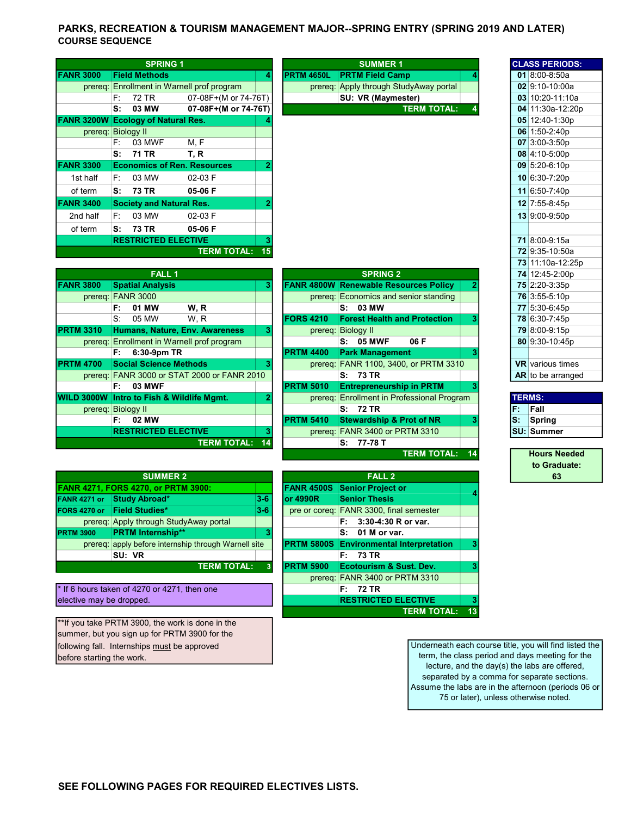## PARKS, RECREATION & TOURISM MANAGEMENT MAJOR--SPRING ENTRY (SPRING 2019 AND LATER) COURSE SEQUENCE

|                    |    | <b>SPRING 1</b>                 |                                    |    |                   | <b>SUMMER 1</b>                        |  |
|--------------------|----|---------------------------------|------------------------------------|----|-------------------|----------------------------------------|--|
| <b>FANR 3000</b>   |    | <b>Field Methods</b>            |                                    |    | <b>PRTM 4650L</b> | <b>PRTM Field Camp</b>                 |  |
| prereq:            |    |                                 | Enrollment in Warnell prof program |    |                   | prereg: Apply through StudyAway portal |  |
|                    | F: | 72 TR                           | 07-08F+(M or 74-76T)               |    |                   | SU: VR (Maymester)                     |  |
|                    | s: | 03 MW                           | 07-08F+(M or 74-76T)               |    |                   | <b>TERM TOTAL:</b>                     |  |
| <b>FANR 3200W</b>  |    | <b>Ecology of Natural Res.</b>  |                                    |    |                   |                                        |  |
| prereq: Biology II |    |                                 |                                    |    |                   |                                        |  |
|                    | F: | 03 MWF                          | M.F                                |    |                   |                                        |  |
|                    |    | S: 71 TR                        | T, R                               |    |                   |                                        |  |
| <b>FANR 3300</b>   |    |                                 | <b>Economics of Ren. Resources</b> | 2  |                   |                                        |  |
| 1st half           | F: | 03 MW                           | 02-03 F                            |    |                   |                                        |  |
| of term            | s: | 73 TR                           | 05-06 F                            |    |                   |                                        |  |
| <b>FANR 3400</b>   |    | <b>Society and Natural Res.</b> |                                    | 2  |                   |                                        |  |
| 2nd half           | F: | 03 MW                           | 02-03 F                            |    |                   |                                        |  |
| of term            | S: | 73 TR                           | 05-06 F                            |    |                   |                                        |  |
|                    |    | <b>RESTRICTED ELECTIVE</b>      |                                    | 3  |                   |                                        |  |
|                    |    |                                 | <b>TERM TOTAL:</b>                 | 15 |                   |                                        |  |
|                    |    |                                 |                                    |    |                   |                                        |  |

|                   | <b>FALL 1</b>                               |    |                  | <b>SPRING 2</b>                              |     | 74 12:45-2:00p          |
|-------------------|---------------------------------------------|----|------------------|----------------------------------------------|-----|-------------------------|
| <b>FANR 3800</b>  | <b>Spatial Analysis</b>                     | 3  |                  | <b>FANR 4800W Renewable Resources Policy</b> |     | 75 2:20-3:35p           |
|                   | prereq: FANR 3000                           |    |                  | prereg: Economics and senior standing        |     | 76 3:55-5:10p           |
|                   | W, R<br>01 MW<br>F:                         |    |                  | S: 03 MW                                     |     | 77 5:30-6:45p           |
|                   | $S^+$<br>05 MW<br>W, R                      |    | <b>FORS 4210</b> | <b>Forest Health and Protection</b>          |     | 78 6:30-7:45p           |
| <b>PRTM 3310</b>  | Humans, Nature, Env. Awareness              | з  |                  | prereg: Biology II                           |     | 79 8:00-9:15p           |
|                   | prereg: Enrollment in Warnell prof program  |    |                  | <b>05 MWF</b><br>06 F<br>s:                  |     | 80 9:30-10:45p          |
|                   | $6:30-9$ pm TR<br>F:                        |    | <b>PRTM 4400</b> | <b>Park Management</b>                       |     |                         |
| <b>PRTM 4700</b>  | <b>Social Science Methods</b>               |    |                  | prereg: FANR 1100, 3400, or PRTM 3310        |     | <b>VR</b> various times |
|                   | prereq: FANR 3000 or STAT 2000 or FANR 2010 |    |                  | S: 73 TR                                     |     | $AR$ to be arrange      |
|                   | <b>03 MWF</b><br>F: I                       |    | <b>PRTM 5010</b> | <b>Entrepreneurship in PRTM</b>              |     |                         |
| <b>WILD 3000W</b> | Intro to Fish & Wildlife Mgmt.              |    | prereq:          | <b>Enrollment in Professional Program</b>    |     | <b>TERMS:</b>           |
|                   | prereg: Biology II                          |    |                  | S: 72 TR                                     | F.  | Fall                    |
|                   | 02 MW<br>F: .                               |    | <b>PRTM 5410</b> | <b>Stewardship &amp; Prot of NR</b>          | lS: | Spring                  |
|                   | <b>RESTRICTED ELECTIVE</b>                  |    | prereq:          | <b>FANR 3400 or PRTM 3310</b>                |     | <b>ISU: Summer</b>      |
|                   | <b>TERM TOTAL:</b>                          | 14 |                  | 77-78 T<br>s:                                |     |                         |
|                   |                                             |    |                  |                                              |     |                         |

|                  | <b>SUMMER 2</b>                                      | <b>FALL 2</b> |                   |                                             |  |
|------------------|------------------------------------------------------|---------------|-------------------|---------------------------------------------|--|
|                  | <b>FANR 4271, FORS 4270, or PRTM 3900:</b>           |               | <b>FANR 4500S</b> | Senior Project or                           |  |
| FANR 4271 or     | Study Abroad*                                        | $3-6$         | <b>or 4990R</b>   | <b>Senior Thesis</b>                        |  |
| FORS 4270 or     | <b>Field Studies*</b>                                | $3-6$         |                   | pre or coreg: FANR 3300, final semester     |  |
|                  | prereq: Apply through StudyAway portal               |               |                   | F: 3:30-4:30 R or var.                      |  |
| <b>PRTM 3900</b> | <b>PRTM Internship**</b>                             | 3             |                   | 01 M or var.<br>s:                          |  |
|                  | prereq: apply before internship through Warnell site |               |                   | <b>PRTM 5800S Environmental Interpretat</b> |  |
|                  | SU: VR                                               |               |                   | F: 73 TR                                    |  |
|                  | <b>TERM TOTAL:</b>                                   | з             | <b>PRTM 5900</b>  | Ecotourism & Sust. Dev.                     |  |

 $*$  If 6 hours taken of 4270 or 4271, then one elective may be dropped.

\*\*If you take PRTM 3900, the work is done in the summer, but you sign up for PRTM 3900 for the following fall. Internships must be approved before starting the work.

|                    |             |                                         | prereq: Enrollment in Warnell prof program  |                |                  | prereq: Apply through StudyAway portal       |                                            |          | 02 9:10-10:00a                           |
|--------------------|-------------|-----------------------------------------|---------------------------------------------|----------------|------------------|----------------------------------------------|--------------------------------------------|----------|------------------------------------------|
|                    | F:          | 72 TR                                   | 07-08F+(M or 74-76T)                        |                |                  | SU: VR (Maymester)                           |                                            |          | 03 10:20-11:10                           |
|                    | S:          | 03 MW                                   | 07-08F+(M or 74-76T)                        |                |                  |                                              | <b>TERM TOTAL:</b>                         |          | 04 11:30a-12:2                           |
|                    |             | NR 3200W Ecology of Natural Res.        |                                             |                |                  |                                              |                                            |          | 05 12:40-1:30p                           |
| prereq: Biology II |             |                                         |                                             |                |                  |                                              |                                            |          | 06 1:50-2:40p                            |
|                    | F:          | 03 MWF                                  | M, F                                        |                |                  |                                              |                                            |          | 07 3:00-3:50p                            |
|                    | s:          | <b>71 TR</b>                            | T, R                                        |                |                  |                                              |                                            |          | 08 4:10-5:00p                            |
| <b>NR 3300</b>     |             |                                         | <b>Economics of Ren. Resources</b>          |                |                  |                                              |                                            |          | $09$ 5:20-6:10p                          |
| 1st half           | F:          | 03 MW                                   | 02-03 F                                     |                |                  |                                              |                                            |          | 10 6:30-7:20p                            |
| of term            | s:          | <b>73 TR</b>                            | 05-06 F                                     |                |                  |                                              |                                            |          | 11 6:50-7:40p                            |
| <b>NR 3400</b>     |             | <b>Society and Natural Res.</b>         |                                             |                |                  |                                              |                                            |          | 12 7:55-8:45p                            |
| 2nd half           | F:          | 03 MW                                   | 02-03 F                                     |                |                  |                                              |                                            |          | 13 9:00-9:50p                            |
| of term            | S:          | <b>73 TR</b>                            | 05-06 F                                     |                |                  |                                              |                                            |          |                                          |
|                    |             | <b>RESTRICTED ELECTIVE</b>              |                                             |                |                  |                                              |                                            |          | 71 8:00-9:15a                            |
|                    |             |                                         | <b>TERM TOTAL:</b>                          | 15             |                  |                                              |                                            |          | 72 9:35-10:50a                           |
|                    |             |                                         |                                             |                |                  |                                              |                                            |          | 73 11:10a-12:2                           |
|                    |             | <b>FALL1</b>                            |                                             |                |                  | <b>SPRING 2</b>                              |                                            |          | 74 12:45-2:00p                           |
| <b>NR 3800</b>     |             | <b>Spatial Analysis</b>                 |                                             | 3              |                  | <b>FANR 4800W Renewable Resources Policy</b> |                                            | 2        | 75 2:20-3:35p                            |
| prereq: FANR 3000  |             |                                         |                                             |                |                  | prereg: Economics and senior standing        |                                            |          | 76 3:55-5:10p                            |
|                    | F:          | 01 MW                                   | W.R                                         |                |                  | 03 MW<br>S:                                  |                                            |          | 77 5:30-6:45p                            |
|                    | $S^{\cdot}$ | 05 MW                                   | W.R                                         |                | <b>FORS 4210</b> | <b>Forest Health and Protection</b>          |                                            | 3        | 78 6:30-7:45p                            |
| TM 3310            |             |                                         | Humans, Nature, Env. Awareness              | 3              |                  | prereq: Biology II                           |                                            |          | 79 8:00-9:15p                            |
|                    |             |                                         | prereg: Enrollment in Warnell prof program  |                |                  | S: 05 MWF                                    | 06 F                                       |          | 80 9:30-10:45p                           |
|                    | F: .        | 6:30-9pm TR                             |                                             |                | <b>PRTM 4400</b> | <b>Park Management</b>                       |                                            |          |                                          |
| TM 4700            |             | <b>Social Science Methods</b>           |                                             | 3              |                  |                                              | prereq: FANR 1100, 3400, or PRTM 3310      |          | <b>VR</b> various time                   |
|                    |             |                                         | prereq: FANR 3000 or STAT 2000 or FANR 2010 |                |                  | S: 73 TR                                     |                                            |          | AR to be arrange                         |
|                    | F: .        | 03 MWF                                  |                                             |                | <b>PRTM 5010</b> | <b>Entrepreneurship in PRTM</b>              |                                            | з        |                                          |
|                    |             | LD 3000W Intro to Fish & Wildlife Mgmt. |                                             | $\overline{2}$ |                  |                                              | prereg: Enrollment in Professional Program |          | <b>TERMS:</b>                            |
| prereq: Biology II |             |                                         |                                             |                |                  | S: 72 TR                                     |                                            | F.       | Fall                                     |
|                    | F:          | 02 MW                                   |                                             |                | <b>PRTM 5410</b> | <b>Stewardship &amp; Prot of NR</b>          |                                            | ls:<br>3 | Spring                                   |
|                    |             | <b>RESTRICTED ELECTIVE</b>              |                                             | 3              |                  | prereq: FANR 3400 or PRTM 3310               |                                            |          | <b>SU: Summer</b>                        |
|                    |             |                                         | <b>TERM TOTAL:</b>                          | 14             |                  | $S: 77-78T$                                  |                                            |          |                                          |
|                    |             |                                         |                                             |                |                  |                                              | <b>TERM TOTAL:</b>                         | 14       | <b>Hours Need</b><br><b>An Condition</b> |
|                    |             |                                         |                                             |                |                  |                                              |                                            |          |                                          |

|          | <b>SUMMER 2</b>                                      |         |                  | <b>FALL 2</b>                                  |    |
|----------|------------------------------------------------------|---------|------------------|------------------------------------------------|----|
|          | 4271, FORS 4270, or PRTM 3900:                       |         |                  | <b>FANR 4500S</b> Senior Project or            |    |
| 271 or l | <b>Study Abroad*</b>                                 | $3 - 6$ | lor 4990R        | <b>Senior Thesis</b>                           |    |
| 270 or   | <b>Field Studies*</b>                                | $3 - 6$ |                  | pre or coreg: FANR 3300, final semester        |    |
|          | prereg: Apply through StudyAway portal               |         |                  | $F: 3:30-4:30 R$ or var.                       |    |
| 900      | <b>PRTM Internship**</b>                             | 3       |                  | $S: 01$ M or var.                              |    |
|          | prereq: apply before internship through Warnell site |         |                  | <b>PRTM 5800S</b> Environmental Interpretation |    |
|          | SU: VR                                               |         |                  | 73 TR<br>E: I                                  |    |
|          | <b>TERM TOTAL:</b>                                   |         | <b>PRTM 5900</b> | <b>Ecotourism &amp; Sust. Dev.</b>             |    |
|          |                                                      |         |                  | prereq: FANR 3400 or PRTM 3310                 |    |
|          | ours taken of 4270 or 4271, then one                 |         |                  | 72 TR<br>F: .                                  |    |
|          | e may be dropped.                                    |         |                  | <b>RESTRICTED ELECTIVE</b>                     |    |
|          |                                                      |         |                  | <b>TERM TOTAL:</b>                             | 13 |

Underneath each course title, you will find listed the term, the class period and days meeting for the lecture, and the day(s) the labs are offered, separated by a comma for separate sections. Assume the labs are in the afternoon (periods 06 or 75 or later), unless otherwise noted.

CLASS PERIODS:

03 10:20-11:10a 04 11:30a-12:20p

72 9:35-10:50a 73 11:10a-12:25p 74 12:45-2:00p

AR to be arranged

Hours Needed

to Graduate: 63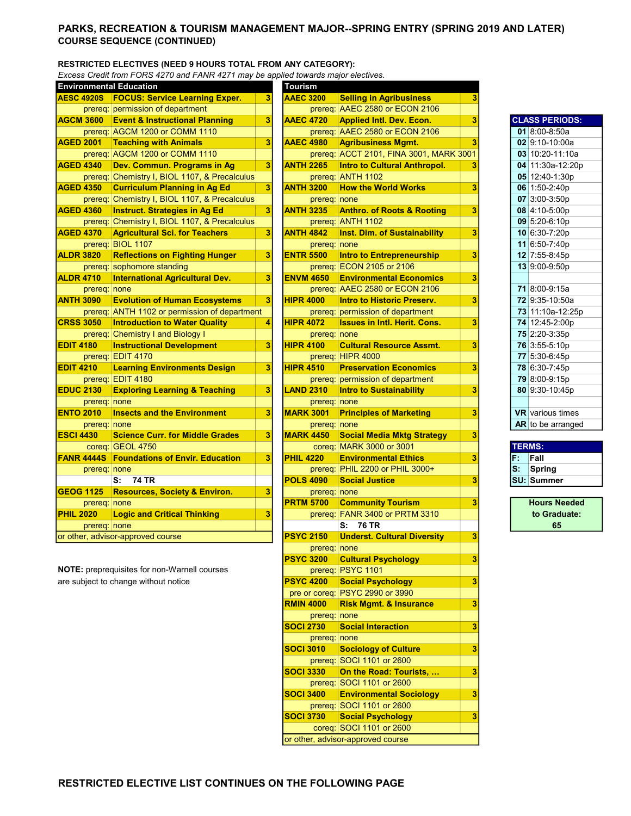## PARKS, RECREATION & TOURISM MANAGEMENT MAJOR--SPRING ENTRY (SPRING 2019 AND LATER) COURSE SEQUENCE (CONTINUED)

#### RESTRICTED ELECTIVES (NEED 9 HOURS TOTAL FROM ANY CATEGORY):

Excess Credit from FORS 4270 and FANR 4271 may be applied towards major electives.

| <b>Environmental Education</b> |                                               |                         | <b>Tourism</b>   |                                         |   |    |                         |
|--------------------------------|-----------------------------------------------|-------------------------|------------------|-----------------------------------------|---|----|-------------------------|
| <b>AESC 4920S</b>              | <b>FOCUS: Service Learning Exper.</b>         | 3                       | <b>AAEC 3200</b> | <b>Selling in Agribusiness</b>          | 3 |    |                         |
|                                | prereq: permission of department              |                         |                  | prereq: AAEC 2580 or ECON 2106          |   |    |                         |
| <b>AGCM 3600</b>               | <b>Event &amp; Instructional Planning</b>     | 3                       | <b>AAEC 4720</b> | <b>Applied Intl. Dev. Econ.</b>         | 3 |    | <b>CLASS PERIODS:</b>   |
|                                | prereq: AGCM 1200 or COMM 1110                |                         |                  | prereq: AAEC 2580 or ECON 2106          |   |    | 01 8:00-8:50a           |
| <b>AGED 2001</b>               | <b>Teaching with Animals</b>                  | 3                       | <b>AAEC 4980</b> | <b>Agribusiness Mgmt.</b>               | 3 |    | 02 9:10-10:00a          |
|                                | prereq: AGCM 1200 or COMM 1110                |                         |                  | prereq: ACCT 2101, FINA 3001, MARK 3001 |   |    | 03 10:20-11:10a         |
| <b>AGED 4340</b>               | Dev. Commun. Programs in Ag                   | 3                       | <b>ANTH 2265</b> | <b>Intro to Cultural Anthropol.</b>     | 3 |    | 04 11:30a-12:20p        |
|                                | prereq: Chemistry I, BIOL 1107, & Precalculus |                         |                  | prereq: ANTH 1102                       |   |    | 05 12:40-1:30p          |
| <b>AGED 4350</b>               | <b>Curriculum Planning in Ag Ed</b>           | 3                       | <b>ANTH 3200</b> | <b>How the World Works</b>              | 3 |    | 06 1:50-2:40p           |
|                                | prereq: Chemistry I, BIOL 1107, & Precalculus |                         | prereq: none     |                                         |   |    | 07 3:00-3:50p           |
| <b>AGED 4360</b>               | <b>Instruct. Strategies in Ag Ed</b>          | 3                       | <b>ANTH 3235</b> | <b>Anthro. of Roots &amp; Rooting</b>   | 3 |    | 08 4:10-5:00p           |
|                                | prereq: Chemistry I, BIOL 1107, & Precalculus |                         |                  | prereq: ANTH 1102                       |   |    | 09 5:20-6:10p           |
| <b>AGED 4370</b>               | <b>Agricultural Sci. for Teachers</b>         | 3                       | <b>ANTH 4842</b> | <b>Inst. Dim. of Sustainability</b>     | 3 |    | 10 6:30-7:20p           |
|                                | prereq: BIOL 1107                             |                         | prereq: none     |                                         |   |    | 11 6:50-7:40p           |
| <b>ALDR 3820</b>               | <b>Reflections on Fighting Hunger</b>         | 3                       | <b>ENTR 5500</b> | <b>Intro to Entrepreneurship</b>        | 3 |    | 12 7:55-8:45p           |
|                                | prereq: sophomore standing                    |                         |                  | prereq: ECON 2105 or 2106               |   |    | 13 9:00-9:50p           |
| <b>ALDR 4710</b>               | <b>International Agricultural Dev.</b>        | 3                       | <b>ENVM 4650</b> | <b>Environmental Economics</b>          | 3 |    |                         |
| prereq: none                   |                                               |                         |                  | prereg: AAEC 2580 or ECON 2106          |   |    | 71 8:00-9:15a           |
| <b>ANTH 3090</b>               | <b>Evolution of Human Ecosystems</b>          | 3                       | <b>HIPR 4000</b> | <b>Intro to Historic Preserv.</b>       | 3 |    | 72 9:35-10:50a          |
|                                | prereg: ANTH 1102 or permission of department |                         |                  | prereq: permission of department        |   |    | 73 11:10a-12:25p        |
| <b>CRSS 3050</b>               | <b>Introduction to Water Quality</b>          | 4                       | <b>HIPR 4072</b> | <b>Issues in Intl. Herit. Cons.</b>     | 3 |    | 74 12:45-2:00p          |
|                                | prereq: Chemistry I and Biology I             |                         | prereq: none     |                                         |   |    | 75 2:20-3:35p           |
| <b>EDIT 4180</b>               | <b>Instructional Development</b>              | 3                       | <b>HIPR 4100</b> | <b>Cultural Resource Assmt.</b>         | 3 |    | 76 3:55-5:10p           |
|                                | prereq: EDIT 4170                             |                         |                  | prereq: HIPR 4000                       |   |    | 77 5:30-6:45p           |
| <b>EDIT 4210</b>               | <b>Learning Environments Design</b>           | 3                       | <b>HIPR 4510</b> | <b>Preservation Economics</b>           | 3 |    | 78 6:30-7:45p           |
|                                | prereq: EDIT 4180                             |                         |                  | prereq: permission of department        |   |    | 79 8:00-9:15p           |
| <b>EDUC 2130</b>               | <b>Exploring Learning &amp; Teaching</b>      | 3                       | <b>LAND 2310</b> | <b>Intro to Sustainability</b>          | 3 |    | 80 9:30-10:45p          |
| prereq: none                   |                                               |                         | prereq: none     |                                         |   |    |                         |
| <b>ENTO 2010</b>               | <b>Insects and the Environment</b>            | 3                       | <b>MARK 3001</b> | <b>Principles of Marketing</b>          | 3 |    | <b>VR</b> various times |
| prereq: none                   |                                               |                         | prereq: none     |                                         |   |    | $AR$ to be arranged     |
| <b>ESCI 4430</b>               | <b>Science Curr, for Middle Grades</b>        | $\overline{\mathbf{3}}$ | <b>MARK 4450</b> | <b>Social Media Mktg Strategy</b>       | 3 |    |                         |
|                                | coreg: GEOL 4750                              |                         |                  | coreg: MARK 3000 or 3001                |   |    | <b>TERMS:</b>           |
| <b>FANR 4444S</b>              | <b>Foundations of Envir, Education</b>        | 3                       | <b>PHIL 4220</b> | <b>Environmental Ethics</b>             | 3 | F. | Fall                    |
| prereq: none                   |                                               |                         |                  | prereq: PHIL 2200 or PHIL 3000+         |   | s: | <b>Spring</b>           |
|                                | <b>74 TR</b><br>s:                            |                         | <b>POLS 4090</b> | <b>Social Justice</b>                   | 3 |    | <b>SU: Summer</b>       |
| <b>GEOG 1125</b>               | <b>Resources, Society &amp; Environ.</b>      | 3                       | prereq: none     |                                         |   |    |                         |
| prereq: none                   |                                               |                         | <b>PRTM 5700</b> | <b>Community Tourism</b>                | 3 |    | <b>Hours Needed</b>     |
| <b>PHIL 2020</b>               | <b>Logic and Critical Thinking</b>            | 3                       |                  | prereq: FANR 3400 or PRTM 3310          |   |    | to Graduate:            |
| prereq: none                   |                                               |                         |                  | 76 TR<br>s:                             |   |    | 65                      |
|                                | or other, advisor-approved course             |                         | <b>PSYC 2150</b> | <b>Underst. Cultural Diversity</b>      | 3 |    |                         |

| <b>AESC 4920S</b> | <b>Environmental Education</b>                      |   | <b>Tourism</b>   |                                                               |   |               |                         |
|-------------------|-----------------------------------------------------|---|------------------|---------------------------------------------------------------|---|---------------|-------------------------|
|                   | <b>FOCUS: Service Learning Exper.</b>               | 3 | <b>AAEC 3200</b> | <b>Selling in Agribusiness</b>                                | 3 |               |                         |
|                   | prereq: permission of department                    |   |                  | prereq: AAEC 2580 or ECON 2106                                |   |               |                         |
| <b>AGCM 3600</b>  | <b>Event &amp; Instructional Planning</b>           | 3 | <b>AAEC 4720</b> | <b>Applied Intl. Dev. Econ.</b>                               | 3 |               | <b>CLASS PERIODS:</b>   |
|                   | prereq: AGCM 1200 or COMM 1110                      |   |                  | prereq: AAEC 2580 or ECON 2106                                |   |               | 01 8:00-8:50a           |
| <b>AGED 2001</b>  | <b>Teaching with Animals</b>                        | 3 | <b>AAEC 4980</b> | <b>Agribusiness Mgmt.</b>                                     | 3 |               | 02 9:10-10:00a          |
|                   | prereq: AGCM 1200 or COMM 1110                      |   |                  | prereq: ACCT 2101, FINA 3001, MARK 3001                       |   |               | 03 10:20-11:10a         |
| <b>AGED 4340</b>  | Dev. Commun. Programs in Ag                         | 3 | <b>ANTH 2265</b> | Intro to Cultural Anthropol.                                  | 3 |               | 04 11:30a-12:20p        |
|                   | prereq: Chemistry I, BIOL 1107, & Precalculus       |   |                  | prereq: ANTH 1102                                             |   |               | 05 12:40-1:30p          |
| <b>AGED 4350</b>  | <b>Curriculum Planning in Ag Ed</b>                 | 3 | <b>ANTH 3200</b> | <b>How the World Works</b>                                    | 3 |               | 06 1:50-2:40p           |
|                   | prereq: Chemistry I, BIOL 1107, & Precalculus       |   | prereq: none     |                                                               |   |               | 07 3:00-3:50p           |
| <b>AGED 4360</b>  | <b>Instruct. Strategies in Ag Ed</b>                | 3 | <b>ANTH 3235</b> | <b>Anthro. of Roots &amp; Rooting</b>                         | 3 |               | 08 4:10-5:00p           |
|                   | prereq: Chemistry I, BIOL 1107, & Precalculus       |   |                  | prereq: ANTH 1102                                             |   |               |                         |
|                   |                                                     |   |                  |                                                               |   |               | 09 5:20-6:10p           |
| <b>AGED 4370</b>  | <b>Agricultural Sci. for Teachers</b>               | 3 | <b>ANTH 4842</b> | <b>Inst. Dim. of Sustainability</b>                           | 3 |               | 10 6:30-7:20p           |
|                   | prereq: BIOL 1107                                   |   | prereq: none     |                                                               |   |               | 11 6:50-7:40p           |
| <b>ALDR 3820</b>  | <b>Reflections on Fighting Hunger</b>               | 3 | <b>ENTR 5500</b> | Intro to Entrepreneurship                                     | 3 |               | 12 7:55-8:45p           |
|                   | prereq: sophomore standing                          |   |                  | prereq: ECON 2105 or 2106                                     |   |               | 13 9:00-9:50p           |
| <b>ALDR 4710</b>  | <b>International Agricultural Dev.</b>              | 3 | <b>ENVM 4650</b> | <b>Environmental Economics</b>                                | 3 |               |                         |
|                   | prereq: none                                        |   |                  | prereq: AAEC 2580 or ECON 2106                                |   |               | 71 8:00-9:15a           |
| <b>ANTH 3090</b>  | <b>Evolution of Human Ecosystems</b>                | 3 | <b>HIPR 4000</b> | <b>Intro to Historic Preserv.</b>                             | 3 |               | 72 9:35-10:50a          |
|                   | prereq: ANTH 1102 or permission of department       |   |                  | prereq: permission of department                              |   |               | 73 11:10a-12:25p        |
| <b>CRSS 3050</b>  | <b>Introduction to Water Quality</b>                | 4 | <b>HIPR 4072</b> | <b>Issues in Intl. Herit. Cons.</b>                           | 3 |               | 74 12:45-2:00p          |
|                   | prereq: Chemistry I and Biology I                   |   | prereq: none     |                                                               |   |               | 75 2:20-3:35p           |
| <b>EDIT 4180</b>  | <b>Instructional Development</b>                    | 3 | <b>HIPR 4100</b> | <b>Cultural Resource Assmt.</b>                               | 3 |               | 76 3:55-5:10p           |
|                   | prereq: EDIT 4170                                   |   |                  | prereq: HIPR 4000                                             |   |               | 77 5:30-6:45p           |
| <b>EDIT 4210</b>  | <b>Learning Environments Design</b>                 | 3 | <b>HIPR 4510</b> | <b>Preservation Economics</b>                                 | 3 |               | 78 6:30-7:45p           |
|                   | prereq: EDIT 4180                                   |   |                  | prereq: permission of department                              |   |               | 79 8:00-9:15p           |
| <b>EDUC 2130</b>  | <b>Exploring Learning &amp; Teaching</b>            | 3 | <b>LAND 2310</b> | <b>Intro to Sustainability</b>                                | 3 |               | 80 9:30-10:45p          |
|                   |                                                     |   |                  |                                                               |   |               |                         |
|                   | prereq: none                                        |   | prereq: none     |                                                               |   |               |                         |
| <b>ENTO 2010</b>  | <b>Insects and the Environment</b>                  | 3 | <b>MARK 3001</b> | <b>Principles of Marketing</b>                                | 3 |               | <b>VR</b> various times |
|                   | prereq: none                                        |   | prereq: none     |                                                               |   |               | AR to be arranged       |
| <b>ESCI 4430</b>  | <b>Science Curr. for Middle Grades</b>              | 3 | <b>MARK 4450</b> | <b>Social Media Mktg Strategy</b>                             | 3 |               |                         |
|                   | coreq: GEOL 4750                                    |   |                  | coreg: MARK 3000 or 3001                                      |   | <b>TERMS:</b> |                         |
| <b>FANR 4444S</b> | <b>Foundations of Envir. Education</b>              | 3 | <b>PHIL 4220</b> | <b>Environmental Ethics</b>                                   | 3 | F.            | Fall                    |
|                   | prereq: none                                        |   |                  | prereq: PHIL 2200 or PHIL 3000+                               |   | lS:           | <b>Spring</b>           |
|                   | <b>74 TR</b><br>s:                                  |   | <b>POLS 4090</b> | <b>Social Justice</b>                                         |   |               | <b>SU: Summer</b>       |
| <b>GEOG 1125</b>  |                                                     |   |                  |                                                               | 3 |               |                         |
|                   | <b>Resources, Society &amp; Environ.</b>            | 3 | prereq: none     |                                                               |   |               |                         |
|                   | prereq: none                                        |   | <b>PRTM 5700</b> | <b>Community Tourism</b>                                      | 3 |               | <b>Hours Needed</b>     |
| <b>PHIL 2020</b>  | <b>Logic and Critical Thinking</b>                  | 3 |                  |                                                               |   |               | to Graduate:            |
|                   |                                                     |   |                  | prereq: FANR 3400 or PRTM 3310<br>S: 76 TR                    |   |               | 65                      |
|                   | prereq: none                                        |   |                  |                                                               |   |               |                         |
|                   | or other, advisor-approved course                   |   | <b>PSYC 2150</b> | <b>Underst. Cultural Diversity</b>                            | 3 |               |                         |
|                   |                                                     |   | prereq: none     |                                                               |   |               |                         |
|                   |                                                     |   | <b>PSYC 3200</b> | <b>Cultural Psychology</b>                                    | 3 |               |                         |
|                   | <b>NOTE:</b> preprequisites for non-Warnell courses |   |                  | prereq: PSYC 1101                                             |   |               |                         |
|                   | are subject to change without notice                |   | <b>PSYC 4200</b> | <b>Social Psychology</b>                                      | 3 |               |                         |
|                   |                                                     |   |                  | pre or coreq: PSYC 2990 or 3990                               |   |               |                         |
|                   |                                                     |   | <b>RMIN 4000</b> | <b>Risk Mgmt. &amp; Insurance</b>                             | 3 |               |                         |
|                   |                                                     |   | prereq: none     |                                                               |   |               |                         |
|                   |                                                     |   | <b>SOCI 2730</b> | <b>Social Interaction</b>                                     | 3 |               |                         |
|                   |                                                     |   | prereq: none     |                                                               |   |               |                         |
|                   |                                                     |   | <b>SOCI 3010</b> | <b>Sociology of Culture</b>                                   | 3 |               |                         |
|                   |                                                     |   |                  | prereq: SOCI 1101 or 2600                                     |   |               |                         |
|                   |                                                     |   | <b>SOCI 3330</b> | On the Road: Tourists,                                        | 3 |               |                         |
|                   |                                                     |   |                  | prereq: SOCI 1101 or 2600                                     |   |               |                         |
|                   |                                                     |   | <b>SOCI 3400</b> | <b>Environmental Sociology</b>                                | 3 |               |                         |
|                   |                                                     |   |                  |                                                               |   |               |                         |
|                   |                                                     |   | <b>SOCI 3730</b> | prereq: SOCI 1101 or 2600                                     |   |               |                         |
|                   |                                                     |   |                  | <b>Social Psychology</b>                                      | 3 |               |                         |
|                   |                                                     |   |                  | coreg: SOCI 1101 or 2600<br>or other, advisor-approved course |   |               |                         |

|    | <b>CLASS PERIODS:</b>   |
|----|-------------------------|
|    | 01 8:00-8:50a           |
|    | 02 9:10-10:00a          |
|    | 03 10:20-11:10a         |
|    | 04 11:30a-12:20p        |
|    | 05 12:40-1:30p          |
|    | 06 1:50-2:40p           |
|    | 07 3:00-3:50p           |
|    | 08 4:10-5:00p           |
|    | 09 5:20-6:10p           |
|    | 10 6:30-7:20p           |
|    | 11 6:50-7:40p           |
|    | 12 7:55-8:45p           |
|    | 13 9:00-9:50p           |
|    |                         |
| 71 | 8:00-9:15a              |
|    | 72 9:35-10:50a          |
|    | 73 11:10a-12:25p        |
|    | 74 12:45-2:00p          |
|    | 75 2:20-3:35p           |
|    | 76 3:55-5:10p           |
|    | 77 5:30-6:45p           |
|    | 78 6:30-7:45p           |
|    | 79 8:00-9:15p           |
| 80 | 9:30-10:45p             |
|    |                         |
|    | <b>VR</b> various times |
|    | AD to be arranged       |

# S: Spring<br>SU: Summer

65 Hours Needed to Graduate: